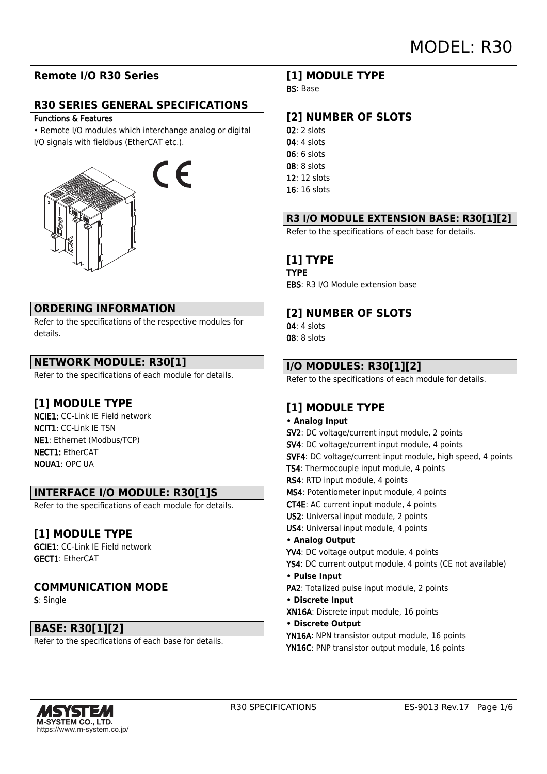### **Remote I/O R30 Series**

### **R30 SERIES GENERAL SPECIFICATIONS**

#### Functions & Features

• Remote I/O modules which interchange analog or digital I/O signals with fieldbus (EtherCAT etc.).



### **ORDERING INFORMATION**

Refer to the specifications of the respective modules for details.

### **NETWORK MODULE: R30[1]**

Refer to the specifications of each module for details.

### **[1] MODULE TYPE**

NCIE1: CC-Link IE Field network NCIT1: CC-Link IE TSN NE1: Ethernet (Modbus/TCP) NECT1: EtherCAT NOUA1: OPC UA

### **INTERFACE I/O MODULE: R30[1]S**

Refer to the specifications of each module for details.

### **[1] MODULE TYPE**

GCIE1: CC-Link IE Field network GECT1: EtherCAT

### **COMMUNICATION MODE**

S: Single

### **BASE: R30[1][2]**

Refer to the specifications of each base for details.

### **[1] MODULE TYPE**

BS: Base

### **[2] NUMBER OF SLOTS**

- $02:2$  slots
- 04: 4 slots
- 06: 6 slots
- 08: 8 slots
- 12: 12 slots
- 16: 16 slots

### **R3 I/O MODULE EXTENSION BASE: R30[1][2]**

Refer to the specifications of each base for details.

### **[1] TYPE**

**TYPE** EBS: R3 I/O Module extension base

### **[2] NUMBER OF SLOTS**

- 04: 4 slots
- 08: 8 slots

### **I/O MODULES: R30[1][2]**

Refer to the specifications of each module for details.

## **[1] MODULE TYPE**

#### **• Analog Input**

SV2: DC voltage/current input module, 2 points SV4: DC voltage/current input module, 4 points SVF4: DC voltage/current input module, high speed, 4 points TS4: Thermocouple input module, 4 points RS4: RTD input module, 4 points MS4: Potentiometer input module, 4 points CT4E: AC current input module, 4 points US2: Universal input module, 2 points US4: Universal input module, 4 points **• Analog Output** YV4: DC voltage output module, 4 points YS4: DC current output module, 4 points (CE not available) **• Pulse Input** PA2: Totalized pulse input module, 2 points **• Discrete Input** XN16A: Discrete input module, 16 points **• Discrete Output** YN16A: NPN transistor output module, 16 points YN16C: PNP transistor output module, 16 points

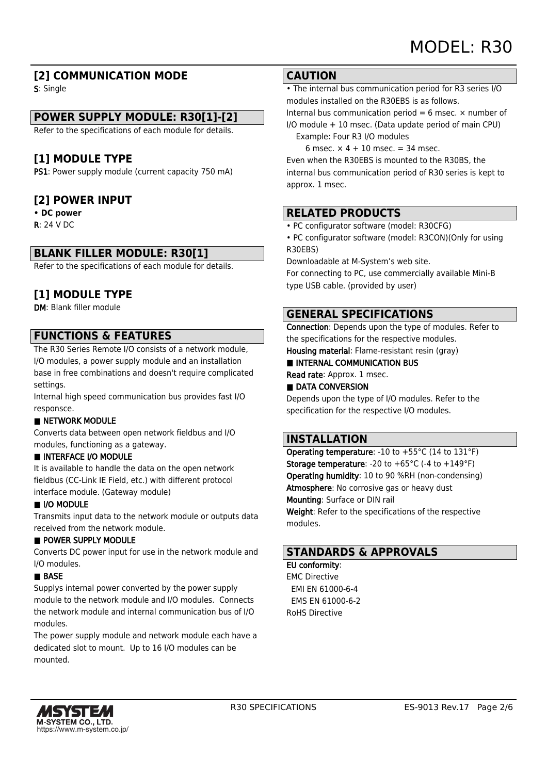### **[2] COMMUNICATION MODE**

S: Single

### **POWER SUPPLY MODULE: R30[1]-[2]**

Refer to the specifications of each module for details.

### **[1] MODULE TYPE**

PS1: Power supply module (current capacity 750 mA)

### **[2] POWER INPUT**

#### **• DC power**

R: 24 V DC

### **BLANK FILLER MODULE: R30[1]**

Refer to the specifications of each module for details.

### **[1] MODULE TYPE**

DM: Blank filler module

### **FUNCTIONS & FEATURES**

The R30 Series Remote I/O consists of a network module, I/O modules, a power supply module and an installation base in free combinations and doesn't require complicated settings.

Internal high speed communication bus provides fast I/O responsce.

#### **B** NETWORK MODULE

Converts data between open network fieldbus and I/O modules, functioning as a gateway.

#### ■ INTERFACE I/O MODULE

It is available to handle the data on the open network fieldbus (CC-Link IE Field, etc.) with different protocol interface module. (Gateway module)

#### ■ I/O MODULE

Transmits input data to the network module or outputs data received from the network module.

#### ■ POWER SUPPLY MODULE

Converts DC power input for use in the network module and I/O modules.

#### ■ BASE

Supplys internal power converted by the power supply module to the network module and I/O modules. Connects the network module and internal communication bus of I/O modules.

The power supply module and network module each have a dedicated slot to mount. Up to 16 I/O modules can be mounted.

#### **CAUTION**

• The internal bus communication period for R3 series I/O modules installed on the R30EBS is as follows.

Internal bus communication period = 6 msec.  $\times$  number of I/O module + 10 msec. (Data update period of main CPU)

Example: Four R3 I/O modules

6 msec.  $\times$  4 + 10 msec. = 34 msec. Even when the R30EBS is mounted to the R30BS, the internal bus communication period of R30 series is kept to approx. 1 msec.

### **RELATED PRODUCTS**

- PC configurator software (model: R30CFG)
- PC configurator software (model: R3CON)(Only for using R30EBS)

Downloadable at M-System's web site.

For connecting to PC, use commercially available Mini-B type USB cable. (provided by user)

### **GENERAL SPECIFICATIONS**

Connection: Depends upon the type of modules. Refer to the specifications for the respective modules. Housing material: Flame-resistant resin (gray)

■ INTERNAL COMMUNICATION BUS

Read rate: Approx. 1 msec.

### ■ DATA CONVERSION

Depends upon the type of I/O modules. Refer to the specification for the respective I/O modules.

### **INSTALLATION**

Operating temperature: -10 to +55°C (14 to 131°F) **Storage temperature:** -20 to  $+65^{\circ}$ C (-4 to  $+149^{\circ}$ F) Operating humidity: 10 to 90 %RH (non-condensing) Atmosphere: No corrosive gas or heavy dust Mounting: Surface or DIN rail Weight: Refer to the specifications of the respective modules.

### **STANDARDS & APPROVALS**

### EU conformity:

EMC Directive EMI EN 61000-6-4 EMS EN 61000-6-2 RoHS Directive

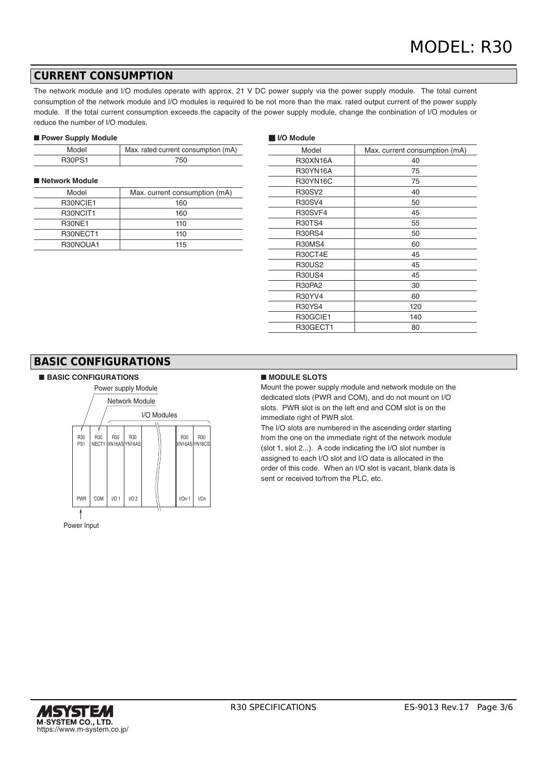### **CURRENT CONSUMPTION**

The network module and I/O modules operate with approx. 21 V DC power supply via the power supply module. The total current consumption of the network module and I/O modules is required to be not more than the max. rated output current of the power supply module. If the total current consumption exceeds the capacity of the power supply module, change the conbination of I/O modules or reduce the number of I/O modules.

#### ■ **Power Supply Module**

| Model         | Max. rated current consumption (mA) |
|---------------|-------------------------------------|
| <b>R30PS1</b> | 750                                 |

#### ■ Network Module

| Model         | Max. current consumption (mA) |
|---------------|-------------------------------|
| R30NCIE1      | 160                           |
| R30NCIT1      | 160                           |
| <b>R30NE1</b> | 110                           |
| R30NECT1      | 110                           |
| R30NOUA1      | 115                           |

#### ■ **I/O Module**

| Model           | Max. current consumption (mA) |  |
|-----------------|-------------------------------|--|
| <b>R30XN16A</b> | 40                            |  |
| <b>R30YN16A</b> | 75                            |  |
| R30YN16C        | 75                            |  |
| <b>R30SV2</b>   | 40                            |  |
| <b>R30SV4</b>   | 50                            |  |
| R30SVF4         | 45                            |  |
| <b>R30TS4</b>   | 55                            |  |
| <b>R30RS4</b>   | 50                            |  |
| <b>R30MS4</b>   | 60                            |  |
| R30CT4E         | 45                            |  |
| <b>R30US2</b>   | 45                            |  |
| <b>R30US4</b>   | 45                            |  |
| <b>R30PA2</b>   | 30                            |  |
| <b>R30YV4</b>   | 60                            |  |
| <b>R30YS4</b>   | 120                           |  |
| R30GCIE1        | 140                           |  |
| R30GECT1        | 80                            |  |
|                 |                               |  |

### **BASIC CONFIGURATIONS**

#### ■ BASIC CONFIGURATIONS ■ MODULE SLOTS



Mount the power supply module and network module on the dedicated slots (PWR and COM), and do not mount on I/O slots. PWR slot is on the left end and COM slot is on the immediate right of PWR slot.

The I/O slots are numbered in the ascending order starting from the one on the immediate right of the network module (slot 1, slot 2...). A code indicating the I/O slot number is assigned to each I/O slot and I/O data is allocated in the order of this code. When an I/O slot is vacant, blank data is sent or received to/from the PLC, etc.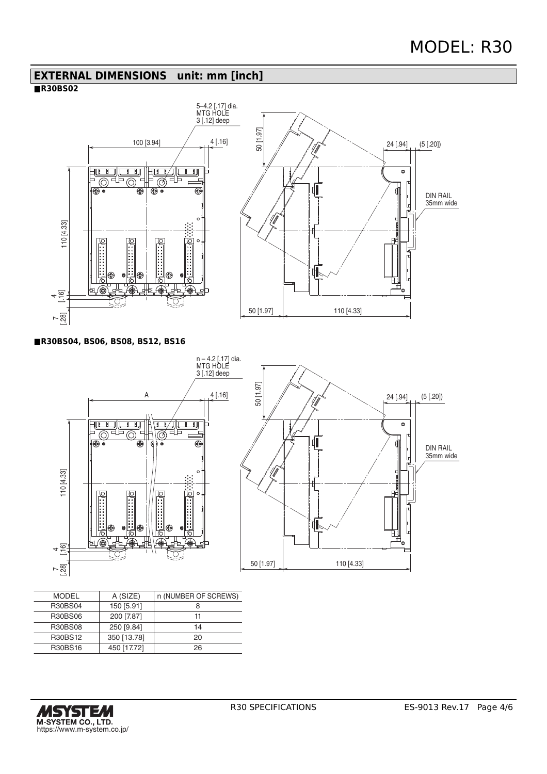### **EXTERNAL DIMENSIONS unit: mm [inch]**

### **■R30BS02**



**■R30BS04, BS06, BS08, BS12, BS16**



| <b>MODEL</b>   | A (SIZE)    | n (NUMBER OF SCREWS) |
|----------------|-------------|----------------------|
| <b>R30BS04</b> | 150 [5.91]  |                      |
| R30BS06        | 200 [7.87]  | 11                   |
| <b>R30BS08</b> | 250 [9.84]  | 14                   |
| R30BS12        | 350 [13.78] | 20                   |
| <b>R30BS16</b> | 450 [17.72] | 26                   |
|                |             |                      |

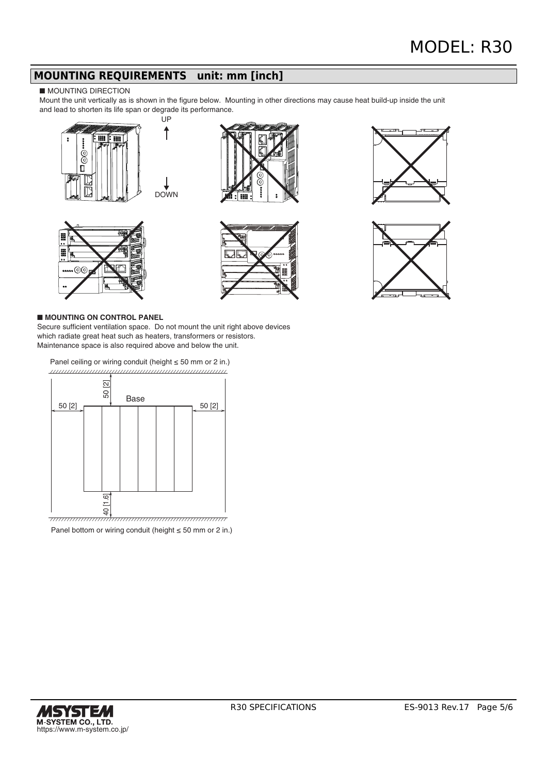### **MOUNTING REQUIREMENTS unit: mm [inch]**

#### ■ MOUNTING DIRECTION

Mount the unit vertically as is shown in the figure below. Mounting in other directions may cause heat build-up inside the unit and lead to shorten its life span or degrade its performance.













#### ■ **MOUNTING ON CONTROL PANEL**

Secure sufficient ventilation space. Do not mount the unit right above devices which radiate great heat such as heaters, transformers or resistors. Maintenance space is also required above and below the unit.

Panel ceiling or wiring conduit (height ≤ 50 mm or 2 in.) 



Panel bottom or wiring conduit (height ≤ 50 mm or 2 in.)